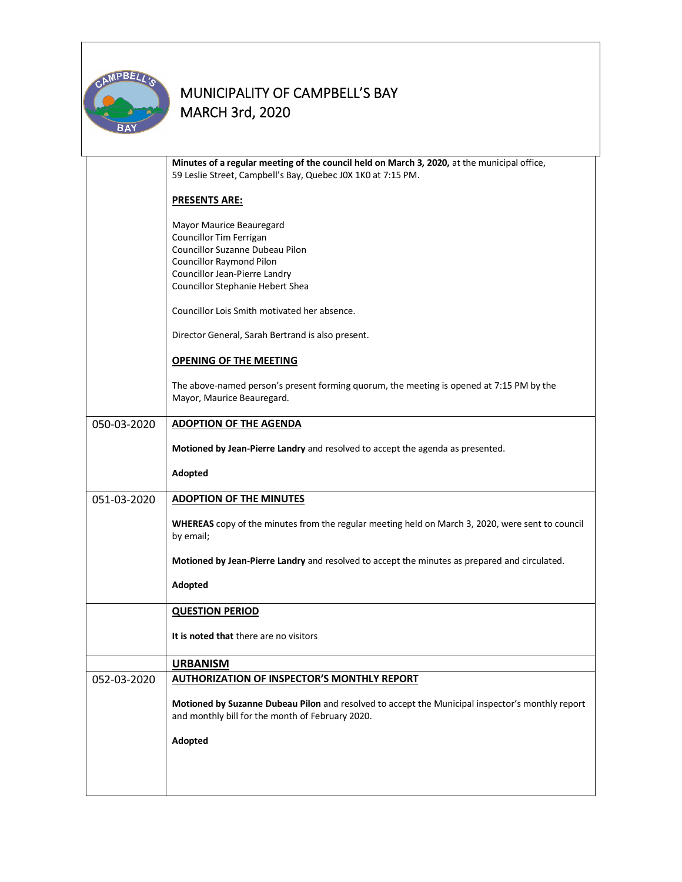

|             | Minutes of a regular meeting of the council held on March 3, 2020, at the municipal office,                            |  |  |  |  |
|-------------|------------------------------------------------------------------------------------------------------------------------|--|--|--|--|
|             | 59 Leslie Street, Campbell's Bay, Quebec JOX 1KO at 7:15 PM.                                                           |  |  |  |  |
|             |                                                                                                                        |  |  |  |  |
|             | <b>PRESENTS ARE:</b>                                                                                                   |  |  |  |  |
|             |                                                                                                                        |  |  |  |  |
|             | Mayor Maurice Beauregard                                                                                               |  |  |  |  |
|             | Councillor Tim Ferrigan                                                                                                |  |  |  |  |
|             | Councillor Suzanne Dubeau Pilon                                                                                        |  |  |  |  |
|             | <b>Councillor Raymond Pilon</b><br>Councillor Jean-Pierre Landry                                                       |  |  |  |  |
|             | Councillor Stephanie Hebert Shea                                                                                       |  |  |  |  |
|             |                                                                                                                        |  |  |  |  |
|             | Councillor Lois Smith motivated her absence.                                                                           |  |  |  |  |
|             | Director General, Sarah Bertrand is also present.                                                                      |  |  |  |  |
|             | <b>OPENING OF THE MEETING</b>                                                                                          |  |  |  |  |
|             |                                                                                                                        |  |  |  |  |
|             | The above-named person's present forming quorum, the meeting is opened at 7:15 PM by the<br>Mayor, Maurice Beauregard. |  |  |  |  |
|             |                                                                                                                        |  |  |  |  |
| 050-03-2020 | <b>ADOPTION OF THE AGENDA</b>                                                                                          |  |  |  |  |
|             |                                                                                                                        |  |  |  |  |
|             | Motioned by Jean-Pierre Landry and resolved to accept the agenda as presented.                                         |  |  |  |  |
|             |                                                                                                                        |  |  |  |  |
|             | Adopted                                                                                                                |  |  |  |  |
| 051-03-2020 | <b>ADOPTION OF THE MINUTES</b>                                                                                         |  |  |  |  |
|             |                                                                                                                        |  |  |  |  |
|             | WHEREAS copy of the minutes from the regular meeting held on March 3, 2020, were sent to council                       |  |  |  |  |
|             | by email;                                                                                                              |  |  |  |  |
|             |                                                                                                                        |  |  |  |  |
|             | Motioned by Jean-Pierre Landry and resolved to accept the minutes as prepared and circulated.                          |  |  |  |  |
|             | Adopted                                                                                                                |  |  |  |  |
|             |                                                                                                                        |  |  |  |  |
|             | <b>QUESTION PERIOD</b>                                                                                                 |  |  |  |  |
|             |                                                                                                                        |  |  |  |  |
|             | It is noted that there are no visitors                                                                                 |  |  |  |  |
|             |                                                                                                                        |  |  |  |  |
|             | <b>URBANISM</b>                                                                                                        |  |  |  |  |
| 052-03-2020 | <b>AUTHORIZATION OF INSPECTOR'S MONTHLY REPORT</b>                                                                     |  |  |  |  |
|             |                                                                                                                        |  |  |  |  |
|             | Motioned by Suzanne Dubeau Pilon and resolved to accept the Municipal inspector's monthly report                       |  |  |  |  |
|             | and monthly bill for the month of February 2020.                                                                       |  |  |  |  |
|             | Adopted                                                                                                                |  |  |  |  |
|             |                                                                                                                        |  |  |  |  |
|             |                                                                                                                        |  |  |  |  |
|             |                                                                                                                        |  |  |  |  |
|             |                                                                                                                        |  |  |  |  |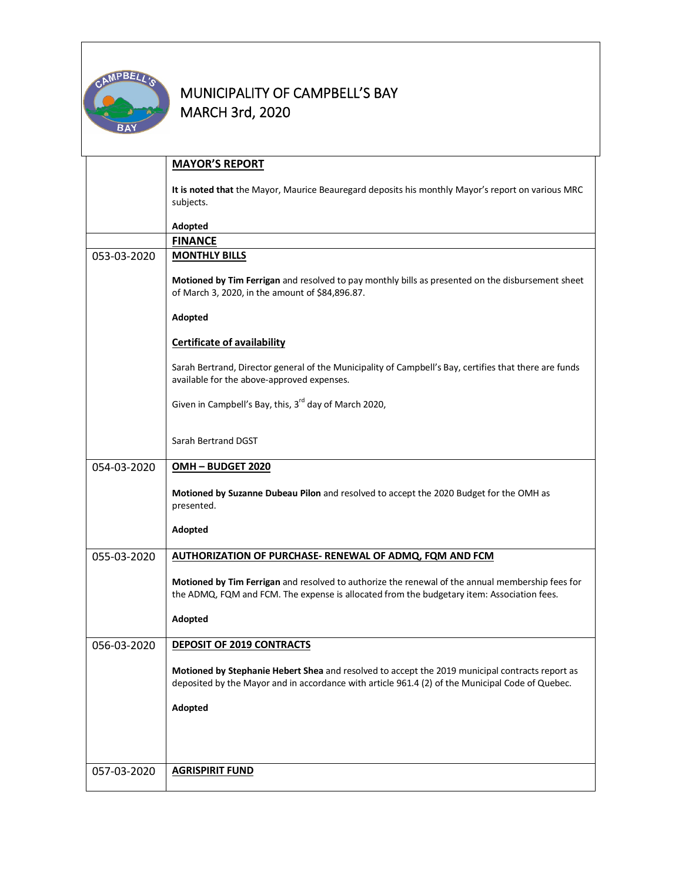

|             | <b>MAYOR'S REPORT</b>                                                                                                                                                                               |  |  |  |  |
|-------------|-----------------------------------------------------------------------------------------------------------------------------------------------------------------------------------------------------|--|--|--|--|
|             | It is noted that the Mayor, Maurice Beauregard deposits his monthly Mayor's report on various MRC                                                                                                   |  |  |  |  |
|             | subjects.                                                                                                                                                                                           |  |  |  |  |
|             | Adopted                                                                                                                                                                                             |  |  |  |  |
|             | <b>FINANCE</b>                                                                                                                                                                                      |  |  |  |  |
| 053-03-2020 | <b>MONTHLY BILLS</b>                                                                                                                                                                                |  |  |  |  |
|             | Motioned by Tim Ferrigan and resolved to pay monthly bills as presented on the disbursement sheet<br>of March 3, 2020, in the amount of \$84,896.87.                                                |  |  |  |  |
|             | Adopted                                                                                                                                                                                             |  |  |  |  |
|             | <b>Certificate of availability</b>                                                                                                                                                                  |  |  |  |  |
|             | Sarah Bertrand, Director general of the Municipality of Campbell's Bay, certifies that there are funds<br>available for the above-approved expenses.                                                |  |  |  |  |
|             | Given in Campbell's Bay, this, 3 <sup>rd</sup> day of March 2020,                                                                                                                                   |  |  |  |  |
|             | Sarah Bertrand DGST                                                                                                                                                                                 |  |  |  |  |
| 054-03-2020 | OMH-BUDGET 2020                                                                                                                                                                                     |  |  |  |  |
|             | Motioned by Suzanne Dubeau Pilon and resolved to accept the 2020 Budget for the OMH as<br>presented.                                                                                                |  |  |  |  |
|             | Adopted                                                                                                                                                                                             |  |  |  |  |
| 055-03-2020 | AUTHORIZATION OF PURCHASE- RENEWAL OF ADMQ, FQM AND FCM                                                                                                                                             |  |  |  |  |
|             | Motioned by Tim Ferrigan and resolved to authorize the renewal of the annual membership fees for<br>the ADMQ, FQM and FCM. The expense is allocated from the budgetary item: Association fees.      |  |  |  |  |
|             | Adopted                                                                                                                                                                                             |  |  |  |  |
| 056-03-2020 | <b>DEPOSIT OF 2019 CONTRACTS</b>                                                                                                                                                                    |  |  |  |  |
|             | Motioned by Stephanie Hebert Shea and resolved to accept the 2019 municipal contracts report as<br>deposited by the Mayor and in accordance with article 961.4 (2) of the Municipal Code of Quebec. |  |  |  |  |
|             | Adopted                                                                                                                                                                                             |  |  |  |  |
|             |                                                                                                                                                                                                     |  |  |  |  |
|             |                                                                                                                                                                                                     |  |  |  |  |
| 057-03-2020 | <b>AGRISPIRIT FUND</b>                                                                                                                                                                              |  |  |  |  |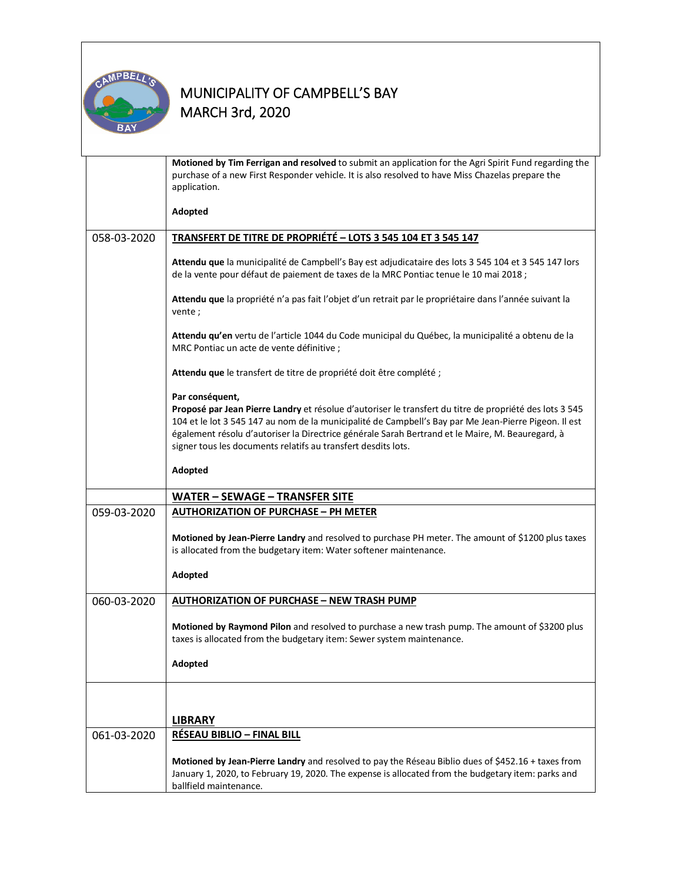

|             | Motioned by Tim Ferrigan and resolved to submit an application for the Agri Spirit Fund regarding the<br>purchase of a new First Responder vehicle. It is also resolved to have Miss Chazelas prepare the<br>application.                                                                                                                                                                                |  |  |
|-------------|----------------------------------------------------------------------------------------------------------------------------------------------------------------------------------------------------------------------------------------------------------------------------------------------------------------------------------------------------------------------------------------------------------|--|--|
|             | Adopted                                                                                                                                                                                                                                                                                                                                                                                                  |  |  |
| 058-03-2020 | TRANSFERT DE TITRE DE PROPRIÉTÉ - LOTS 3 545 104 ET 3 545 147                                                                                                                                                                                                                                                                                                                                            |  |  |
|             | Attendu que la municipalité de Campbell's Bay est adjudicataire des lots 3 545 104 et 3 545 147 lors<br>de la vente pour défaut de paiement de taxes de la MRC Pontiac tenue le 10 mai 2018 ;                                                                                                                                                                                                            |  |  |
|             | Attendu que la propriété n'a pas fait l'objet d'un retrait par le propriétaire dans l'année suivant la<br>vente;                                                                                                                                                                                                                                                                                         |  |  |
|             | Attendu qu'en vertu de l'article 1044 du Code municipal du Québec, la municipalité a obtenu de la<br>MRC Pontiac un acte de vente définitive ;                                                                                                                                                                                                                                                           |  |  |
|             | Attendu que le transfert de titre de propriété doit être complété ;                                                                                                                                                                                                                                                                                                                                      |  |  |
|             | Par conséquent,<br>Proposé par Jean Pierre Landry et résolue d'autoriser le transfert du titre de propriété des lots 3 545<br>104 et le lot 3 545 147 au nom de la municipalité de Campbell's Bay par Me Jean-Pierre Pigeon. Il est<br>également résolu d'autoriser la Directrice générale Sarah Bertrand et le Maire, M. Beauregard, à<br>signer tous les documents relatifs au transfert desdits lots. |  |  |
|             | Adopted                                                                                                                                                                                                                                                                                                                                                                                                  |  |  |
|             | <b>WATER - SEWAGE - TRANSFER SITE</b>                                                                                                                                                                                                                                                                                                                                                                    |  |  |
| 059-03-2020 | <b>AUTHORIZATION OF PURCHASE - PH METER</b>                                                                                                                                                                                                                                                                                                                                                              |  |  |
|             | Motioned by Jean-Pierre Landry and resolved to purchase PH meter. The amount of \$1200 plus taxes<br>is allocated from the budgetary item: Water softener maintenance.                                                                                                                                                                                                                                   |  |  |
|             | Adopted                                                                                                                                                                                                                                                                                                                                                                                                  |  |  |
| 060-03-2020 | <b>AUTHORIZATION OF PURCHASE - NEW TRASH PUMP</b>                                                                                                                                                                                                                                                                                                                                                        |  |  |
|             | Motioned by Raymond Pilon and resolved to purchase a new trash pump. The amount of \$3200 plus<br>taxes is allocated from the budgetary item: Sewer system maintenance.                                                                                                                                                                                                                                  |  |  |
|             | Adopted                                                                                                                                                                                                                                                                                                                                                                                                  |  |  |
|             |                                                                                                                                                                                                                                                                                                                                                                                                          |  |  |
|             | <b>LIBRARY</b>                                                                                                                                                                                                                                                                                                                                                                                           |  |  |
| 061-03-2020 | <b>RÉSEAU BIBLIO - FINAL BILL</b>                                                                                                                                                                                                                                                                                                                                                                        |  |  |
|             |                                                                                                                                                                                                                                                                                                                                                                                                          |  |  |
|             | Motioned by Jean-Pierre Landry and resolved to pay the Réseau Biblio dues of \$452.16 + taxes from<br>January 1, 2020, to February 19, 2020. The expense is allocated from the budgetary item: parks and<br>ballfield maintenance.                                                                                                                                                                       |  |  |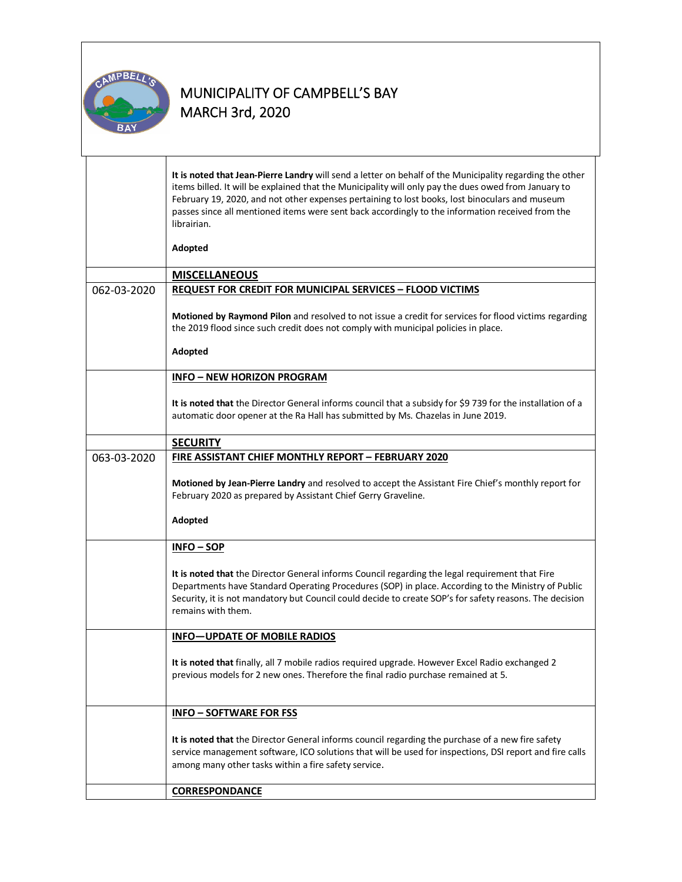

Т

|             | It is noted that Jean-Pierre Landry will send a letter on behalf of the Municipality regarding the other<br>items billed. It will be explained that the Municipality will only pay the dues owed from January to<br>February 19, 2020, and not other expenses pertaining to lost books, lost binoculars and museum<br>passes since all mentioned items were sent back accordingly to the information received from the<br>librairian. |  |  |  |
|-------------|---------------------------------------------------------------------------------------------------------------------------------------------------------------------------------------------------------------------------------------------------------------------------------------------------------------------------------------------------------------------------------------------------------------------------------------|--|--|--|
|             | Adopted                                                                                                                                                                                                                                                                                                                                                                                                                               |  |  |  |
|             | <b>MISCELLANEOUS</b>                                                                                                                                                                                                                                                                                                                                                                                                                  |  |  |  |
| 062-03-2020 | <b>REQUEST FOR CREDIT FOR MUNICIPAL SERVICES - FLOOD VICTIMS</b>                                                                                                                                                                                                                                                                                                                                                                      |  |  |  |
|             | Motioned by Raymond Pilon and resolved to not issue a credit for services for flood victims regarding<br>the 2019 flood since such credit does not comply with municipal policies in place.<br>Adopted                                                                                                                                                                                                                                |  |  |  |
|             | <b>INFO - NEW HORIZON PROGRAM</b>                                                                                                                                                                                                                                                                                                                                                                                                     |  |  |  |
|             |                                                                                                                                                                                                                                                                                                                                                                                                                                       |  |  |  |
|             | It is noted that the Director General informs council that a subsidy for \$9 739 for the installation of a<br>automatic door opener at the Ra Hall has submitted by Ms. Chazelas in June 2019.                                                                                                                                                                                                                                        |  |  |  |
|             | <b>SECURITY</b>                                                                                                                                                                                                                                                                                                                                                                                                                       |  |  |  |
| 063-03-2020 | FIRE ASSISTANT CHIEF MONTHLY REPORT - FEBRUARY 2020                                                                                                                                                                                                                                                                                                                                                                                   |  |  |  |
|             | Motioned by Jean-Pierre Landry and resolved to accept the Assistant Fire Chief's monthly report for<br>February 2020 as prepared by Assistant Chief Gerry Graveline.                                                                                                                                                                                                                                                                  |  |  |  |
|             | Adopted                                                                                                                                                                                                                                                                                                                                                                                                                               |  |  |  |
|             | $INFO - SOP$                                                                                                                                                                                                                                                                                                                                                                                                                          |  |  |  |
|             | It is noted that the Director General informs Council regarding the legal requirement that Fire<br>Departments have Standard Operating Procedures (SOP) in place. According to the Ministry of Public<br>Security, it is not mandatory but Council could decide to create SOP's for safety reasons. The decision<br>remains with them.                                                                                                |  |  |  |
|             | <b>INFO-UPDATE OF MOBILE RADIOS</b>                                                                                                                                                                                                                                                                                                                                                                                                   |  |  |  |
|             | It is noted that finally, all 7 mobile radios required upgrade. However Excel Radio exchanged 2<br>previous models for 2 new ones. Therefore the final radio purchase remained at 5.                                                                                                                                                                                                                                                  |  |  |  |
|             | <b>INFO - SOFTWARE FOR FSS</b>                                                                                                                                                                                                                                                                                                                                                                                                        |  |  |  |
|             | It is noted that the Director General informs council regarding the purchase of a new fire safety<br>service management software, ICO solutions that will be used for inspections, DSI report and fire calls<br>among many other tasks within a fire safety service.                                                                                                                                                                  |  |  |  |
|             | <b>CORRESPONDANCE</b>                                                                                                                                                                                                                                                                                                                                                                                                                 |  |  |  |